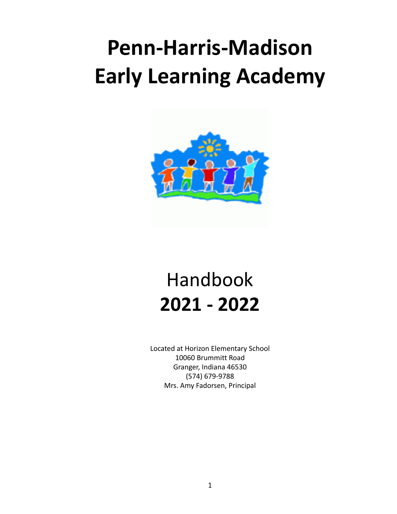# **Penn-Harris-Madison Early Learning Academy**



# Handbook **2021 - 2022**

Located at Horizon Elementary School 10060 Brummitt Road Granger, Indiana 46530 (574) 679-9788 Mrs. Amy Fadorsen, Principal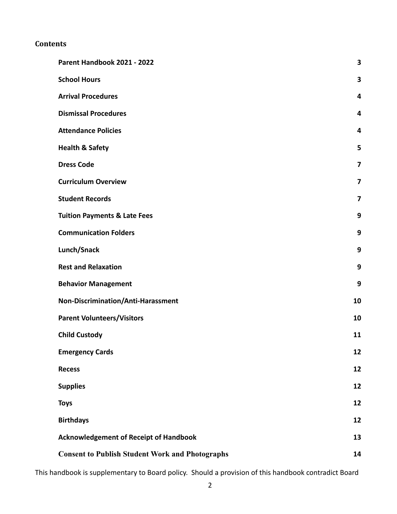### **Contents**

| Parent Handbook 2021 - 2022                            | 3                       |
|--------------------------------------------------------|-------------------------|
| <b>School Hours</b>                                    | $\overline{\mathbf{3}}$ |
| <b>Arrival Procedures</b>                              | 4                       |
| <b>Dismissal Procedures</b>                            | 4                       |
| <b>Attendance Policies</b>                             | 4                       |
| <b>Health &amp; Safety</b>                             | 5                       |
| <b>Dress Code</b>                                      | $\overline{7}$          |
| <b>Curriculum Overview</b>                             | 7                       |
| <b>Student Records</b>                                 | 7                       |
| <b>Tuition Payments &amp; Late Fees</b>                | 9                       |
| <b>Communication Folders</b>                           | 9                       |
| Lunch/Snack                                            | 9                       |
| <b>Rest and Relaxation</b>                             | 9                       |
| <b>Behavior Management</b>                             | 9                       |
| Non-Discrimination/Anti-Harassment                     | 10                      |
| <b>Parent Volunteers/Visitors</b>                      | 10                      |
| <b>Child Custody</b>                                   | 11                      |
| <b>Emergency Cards</b>                                 | 12                      |
| <b>Recess</b>                                          | 12                      |
| <b>Supplies</b>                                        | 12                      |
| <b>Toys</b>                                            | 12                      |
| <b>Birthdays</b>                                       | 12                      |
| <b>Acknowledgement of Receipt of Handbook</b>          | 13                      |
| <b>Consent to Publish Student Work and Photographs</b> | 14                      |

This handbook is supplementary to Board policy. Should a provision of this handbook contradict Board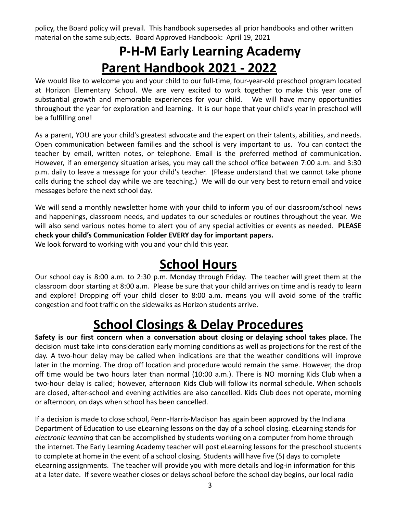policy, the Board policy will prevail. This handbook supersedes all prior handbooks and other written material on the same subjects. Board Approved Handbook: April 19, 2021

# **P-H-M Early Learning Academy Parent Handbook 2021 - 2022**

<span id="page-2-0"></span>We would like to welcome you and your child to our full-time, four-year-old preschool program located at Horizon Elementary School. We are very excited to work together to make this year one of substantial growth and memorable experiences for your child. We will have many opportunities throughout the year for exploration and learning. It is our hope that your child's year in preschool will be a fulfilling one!

As a parent, YOU are your child's greatest advocate and the expert on their talents, abilities, and needs. Open communication between families and the school is very important to us. You can contact the teacher by email, written notes, or telephone. Email is the preferred method of communication. However, if an emergency situation arises, you may call the school office between 7:00 a.m. and 3:30 p.m. daily to leave a message for your child's teacher. (Please understand that we cannot take phone calls during the school day while we are teaching.) We will do our very best to return email and voice messages before the next school day.

We will send a monthly newsletter home with your child to inform you of our classroom/school news and happenings, classroom needs, and updates to our schedules or routines throughout the year. We will also send various notes home to alert you of any special activities or events as needed. **PLEASE check your child's Communication Folder EVERY day for important papers.**

<span id="page-2-1"></span>We look forward to working with you and your child this year.

### **School Hours**

Our school day is 8:00 a.m. to 2:30 p.m. Monday through Friday. The teacher will greet them at the classroom door starting at 8:00 a.m. Please be sure that your child arrives on time and is ready to learn and explore! Dropping off your child closer to 8:00 a.m. means you will avoid some of the traffic congestion and foot traffic on the sidewalks as Horizon students arrive.

# **School Closings & Delay Procedures**

**Safety is our first concern when a conversation about closing or delaying school takes place.** The decision must take into consideration early morning conditions as well as projections for the rest of the day. A two-hour delay may be called when indications are that the weather conditions will improve later in the morning. The drop off location and procedure would remain the same. However, the drop off time would be two hours later than normal (10:00 a.m.). There is NO morning Kids Club when a two-hour delay is called; however, afternoon Kids Club will follow its normal schedule. When schools are closed, after-school and evening activities are also cancelled. Kids [Club](https://www.phmschools.org/kids-club) does not operate, morning or afternoon, on days when school has been cancelled.

If a decision is made to close school, Penn-Harris-Madison has again been approved by the Indiana Department of Education to use eLearning lessons on the day of a school closing. eLearning stands for *electronic learning* that can be accomplished by students working on a computer from home through the internet. The Early Learning Academy teacher will post eLearning lessons for the preschool students to complete at home in the event of a school closing. Students will have five (5) days to complete eLearning assignments. The teacher will provide you with more details and log-in information for this at a later date. If severe weather closes or delays school before the school day begins, our local radio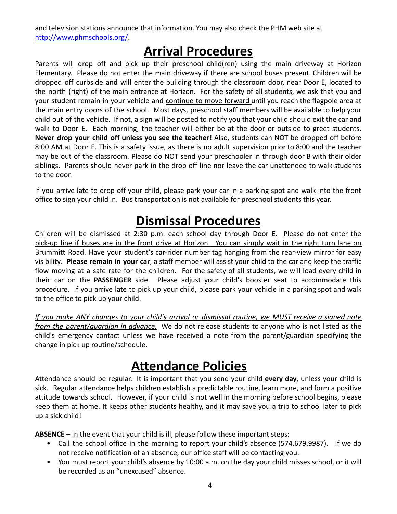and television stations announce that information. You may also check the PHM web site at <http://www.phmschools.org/>.

# **Arrival Procedures**

<span id="page-3-0"></span>Parents will drop off and pick up their preschool child(ren) using the main driveway at Horizon Elementary. Please do not enter the main driveway if there are school buses present. Children will be dropped off curbside and will enter the building through the classroom door, near Door E, located to the north (right) of the main entrance at Horizon. For the safety of all students, we ask that you and your student remain in your vehicle and continue to move forward until you reach the flagpole area at the main entry doors of the school. Most days, preschool staff members will be available to help your child out of the vehicle. If not, a sign will be posted to notify you that your child should exit the car and walk to Door E. Each morning, the teacher will either be at the door or outside to greet students. **Never drop your child off unless you see the teacher!** Also, students can NOT be dropped off before 8:00 AM at Door E. This is a safety issue, as there is no adult supervision prior to 8:00 and the teacher may be out of the classroom. Please do NOT send your preschooler in through door B with their older siblings. Parents should never park in the drop off line nor leave the car unattended to walk students to the door.

If you arrive late to drop off your child, please park your car in a parking spot and walk into the front office to sign your child in. Bus transportation is not available for preschool students this year.

# **Dismissal Procedures**

<span id="page-3-1"></span>Children will be dismissed at 2:30 p.m. each school day through Door E. Please do not enter the pick-up line if buses are in the front drive at Horizon. You can simply wait in the right turn lane on Brummitt Road. Have your student's car-rider number tag hanging from the rear-view mirror for easy visibility. **Please remain in your car**; a staff member will assist your child to the car and keep the traffic flow moving at a safe rate for the children. For the safety of all students, we will load every child in their car on the **PASSENGER** side. Please adjust your child's booster seat to accommodate this procedure. If you arrive late to pick up your child, please park your vehicle in a parking spot and walk to the office to pick up your child.

If you make ANY changes to your child's arrival or dismissal routine, we MUST receive a signed note *from the parent/guardian in advance.* We do not release students to anyone who is not listed as the child's emergency contact unless we have received a note from the parent/guardian specifying the change in pick up routine/schedule.

### **Attendance Policies**

<span id="page-3-2"></span>Attendance should be regular. It is important that you send your child **every day**, unless your child is sick. Regular attendance helps children establish a predictable routine, learn more, and form a positive attitude towards school. However, if your child is not well in the morning before school begins, please keep them at home. It keeps other students healthy, and it may save you a trip to school later to pick up a sick child!

**ABSENCE** – In the event that your child is ill, please follow these important steps:

- Call the school office in the morning to report your child's absence (574.679.9987). If we do not receive notification of an absence, our office staff will be contacting you.
- You must report your child's absence by 10:00 a.m. on the day your child misses school, or it will be recorded as an "unexcused" absence.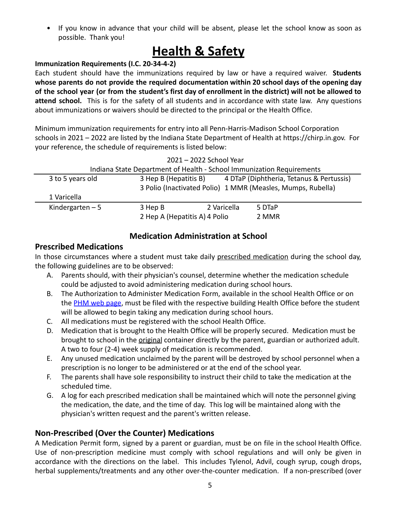• If you know in advance that your child will be absent, please let the school know as soon as possible. Thank you!

# **Health & Safety**

#### <span id="page-4-0"></span>**Immunization Requirements (I.C. 20-34-4-2)**

Each student should have the immunizations required by law or have a required waiver. **Students whose parents do not provide the required documentation within 20 school days of the opening day** of the school year (or from the student's first day of enrollment in the district) will not be allowed to **attend school.** This is for the safety of all students and in accordance with state law. Any questions about immunizations or waivers should be directed to the principal or the Health Office.

Minimum immunization requirements for entry into all Penn-Harris-Madison School Corporation schools in 2021 – 2022 are listed by the Indiana State Department of Health at https://chirp.in.gov. For your reference, the schedule of requirements is listed below:

|                                                                       |                                                             | 2021 - 2022 School Year |                                          |  |  |
|-----------------------------------------------------------------------|-------------------------------------------------------------|-------------------------|------------------------------------------|--|--|
| Indiana State Department of Health - School Immunization Requirements |                                                             |                         |                                          |  |  |
| 3 to 5 years old                                                      | 3 Hep B (Hepatitis B)                                       |                         | 4 DTaP (Diphtheria, Tetanus & Pertussis) |  |  |
|                                                                       | 3 Polio (Inactivated Polio) 1 MMR (Measles, Mumps, Rubella) |                         |                                          |  |  |
| 1 Varicella                                                           |                                                             |                         |                                          |  |  |
| Kindergarten $-5$                                                     | 3 Hep B                                                     | 2 Varicella             | 5 DTaP                                   |  |  |
|                                                                       | 2 Hep A (Hepatitis A) 4 Polio                               |                         | 2 MMR                                    |  |  |

#### **Medication Administration at School**

#### **Prescribed Medications**

In those circumstances where a student must take daily prescribed medication during the school day, the following guidelines are to be observed:

- A. Parents should, with their physician's counsel, determine whether the medication schedule could be adjusted to avoid administering medication during school hours.
- B. The Authorization to Administer Medication Form, available in the school Health Office or on the [PHM web page](https://www.phmschools.org/forms-administering-medications-school), must be filed with the respective building Health Office before the student will be allowed to begin taking any medication during school hours.
- C. All medications must be registered with the school Health Office.
- D. Medication that is brought to the Health Office will be properly secured. Medication must be brought to school in the original container directly by the parent, guardian or authorized adult. A two to four (2-4) week supply of medication is recommended.
- E. Any unused medication unclaimed by the parent will be destroyed by school personnel when a prescription is no longer to be administered or at the end of the school year.
- F. The parents shall have sole responsibility to instruct their child to take the medication at the scheduled time.
- G. A log for each prescribed medication shall be maintained which will note the personnel giving the medication, the date, and the time of day. This log will be maintained along with the physician's written request and the parent's written release.

### **Non-Prescribed (Over the Counter) Medications**

A Medication Permit form, signed by a parent or guardian, must be on file in the school Health Office. Use of non-prescription medicine must comply with school regulations and will only be given in accordance with the directions on the label. This includes Tylenol, Advil, cough syrup, cough drops, herbal supplements/treatments and any other over-the-counter medication. If a non-prescribed (over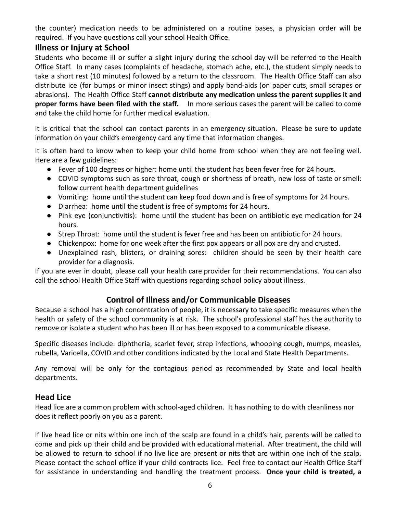the counter) medication needs to be administered on a routine bases, a physician order will be required. If you have questions call your school Health Office.

#### **Illness or Injury at School**

Students who become ill or suffer a slight injury during the school day will be referred to the Health Office Staff. In many cases (complaints of headache, stomach ache, etc.), the student simply needs to take a short rest (10 minutes) followed by a return to the classroom. The Health Office Staff can also distribute ice (for bumps or minor insect stings) and apply band-aids (on paper cuts, small scrapes or abrasions). The Health Office Staff **cannot distribute any medication unless the parent supplies it and proper forms have been filed with the staff.** In more serious cases the parent will be called to come and take the child home for further medical evaluation.

It is critical that the school can contact parents in an emergency situation. Please be sure to update information on your child's emergency card any time that information changes.

It is often hard to know when to keep your child home from school when they are not feeling well. Here are a few guidelines:

- Fever of 100 degrees or higher: home until the student has been fever free for 24 hours.
- COVID symptoms such as sore throat, cough or shortness of breath, new loss of taste or smell: follow current health department guidelines
- Vomiting: home until the student can keep food down and is free of symptoms for 24 hours.
- Diarrhea: home until the student is free of symptoms for 24 hours.
- Pink eye (conjunctivitis): home until the student has been on antibiotic eye medication for 24 hours.
- Strep Throat: home until the student is fever free and has been on antibiotic for 24 hours.
- Chickenpox: home for one week after the first pox appears or all pox are dry and crusted.
- Unexplained rash, blisters, or draining sores: children should be seen by their health care provider for a diagnosis.

If you are ever in doubt, please call your health care provider for their recommendations. You can also call the school Health Office Staff with questions regarding school policy about illness.

#### **Control of Illness and/or Communicable Diseases**

Because a school has a high concentration of people, it is necessary to take specific measures when the health or safety of the school community is at risk. The school's professional staff has the authority to remove or isolate a student who has been ill or has been exposed to a communicable disease.

Specific diseases include: diphtheria, scarlet fever, strep infections, whooping cough, mumps, measles, rubella, Varicella, COVID and other conditions indicated by the Local and State Health Departments.

Any removal will be only for the contagious period as recommended by State and local health departments.

#### **Head Lice**

Head lice are a common problem with school-aged children. It has nothing to do with cleanliness nor does it reflect poorly on you as a parent.

If live head lice or nits within one inch of the scalp are found in a child's hair, parents will be called to come and pick up their child and be provided with educational material. After treatment, the child will be allowed to return to school if no live lice are present or nits that are within one inch of the scalp. Please contact the school office if your child contracts lice. Feel free to contact our Health Office Staff for assistance in understanding and handling the treatment process. **Once your child is treated, a**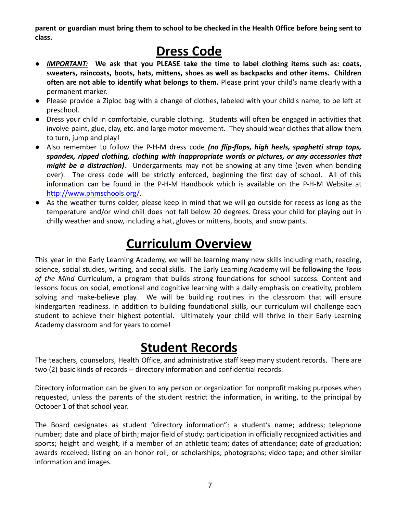parent or guardian must bring them to school to be checked in the Health Office before being sent to **class.**

# **Dress Code**

- <span id="page-6-0"></span>● *IMPORTANT:* **We ask that you PLEASE take the time to label clothing items such as: coats, sweaters, raincoats, boots, hats, mittens, shoes as well as backpacks and other items. Children often are not able to identify what belongs to them.** Please print your child's name clearly with a permanent marker.
- Please provide a Ziploc bag with a change of clothes, labeled with your child's name, to be left at preschool.
- Dress your child in comfortable, durable clothing. Students will often be engaged in activities that involve paint, glue, clay, etc. and large motor movement. They should wear clothes that allow them to turn, jump and play!
- Also remember to follow the P-H-M dress code *(no flip-flops, high heels, spaghetti strap tops, spandex, ripped clothing, clothing with inappropriate words or pictures, or any accessories that might be a distraction)*. Undergarments may not be showing at any time (even when bending over). The dress code will be strictly enforced, beginning the first day of school. All of this information can be found in the P-H-M Handbook which is available on the P-H-M Website at <http://www.phmschools.org/>.
- As the weather turns colder, please keep in mind that we will go outside for recess as long as the temperature and/or wind chill does not fall below 20 degrees. Dress your child for playing out in chilly weather and snow, including a hat, gloves or mittens, boots, and snow pants.

# **Curriculum Overview**

<span id="page-6-1"></span>This year in the Early Learning Academy, we will be learning many new skills including math, reading, science, social studies, writing, and social skills. The Early Learning Academy will be following the *Tools of the Mind* Curriculum, a program that builds strong foundations for school success. Content and lessons focus on social, emotional and cognitive learning with a daily emphasis on creativity, problem solving and make-believe play. We will be building routines in the classroom that will ensure kindergarten readiness. In addition to building foundational skills, our curriculum will challenge each student to achieve their highest potential. Ultimately your child will thrive in their Early Learning Academy classroom and for years to come!

### **Student Records**

<span id="page-6-2"></span>The teachers, counselors, Health Office, and administrative staff keep many student records. There are two (2) basic kinds of records -- directory information and confidential records.

Directory information can be given to any person or organization for nonprofit making purposes when requested, unless the parents of the student restrict the information, in writing, to the principal by October 1 of that school year.

The Board designates as student "directory information": a student's name; address; telephone number; date and place of birth; major field of study; participation in officially recognized activities and sports; height and weight, if a member of an athletic team; dates of attendance; date of graduation; awards received; listing on an honor roll; or scholarships; photographs; video tape; and other similar information and images.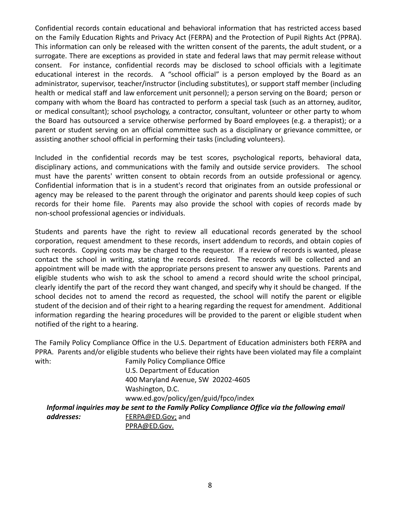Confidential records contain educational and behavioral information that has restricted access based on the Family Education Rights and Privacy Act (FERPA) and the Protection of Pupil Rights Act (PPRA). This information can only be released with the written consent of the parents, the adult student, or a surrogate. There are exceptions as provided in state and federal laws that may permit release without consent. For instance, confidential records may be disclosed to school officials with a legitimate educational interest in the records. A "school official" is a person employed by the Board as an administrator, supervisor, teacher/instructor (including substitutes), or support staff member (including health or medical staff and law enforcement unit personnel); a person serving on the Board; person or company with whom the Board has contracted to perform a special task (such as an attorney, auditor, or medical consultant); school psychology, a contractor, consultant, volunteer or other party to whom the Board has outsourced a service otherwise performed by Board employees (e.g. a therapist); or a parent or student serving on an official committee such as a disciplinary or grievance committee, or assisting another school official in performing their tasks (including volunteers).

Included in the confidential records may be test scores, psychological reports, behavioral data, disciplinary actions, and communications with the family and outside service providers. The school must have the parents' written consent to obtain records from an outside professional or agency. Confidential information that is in a student's record that originates from an outside professional or agency may be released to the parent through the originator and parents should keep copies of such records for their home file. Parents may also provide the school with copies of records made by non-school professional agencies or individuals.

Students and parents have the right to review all educational records generated by the school corporation, request amendment to these records, insert addendum to records, and obtain copies of such records. Copying costs may be charged to the requestor. If a review of records is wanted, please contact the school in writing, stating the records desired. The records will be collected and an appointment will be made with the appropriate persons present to answer any questions. Parents and eligible students who wish to ask the school to amend a record should write the school principal, clearly identify the part of the record they want changed, and specify why it should be changed. If the school decides not to amend the record as requested, the school will notify the parent or eligible student of the decision and of their right to a hearing regarding the request for amendment. Additional information regarding the hearing procedures will be provided to the parent or eligible student when notified of the right to a hearing.

The Family Policy Compliance Office in the U.S. Department of Education administers both FERPA and PPRA. Parents and/or eligible students who believe their rights have been violated may file a complaint with: **Family Policy Compliance Office** 

U.S. Department of Education 400 Maryland Avenue, SW 20202-4605 Washington, D.C. www.ed.gov/policy/gen/guid/fpco/index

*Informal inquiries may be sent to the Family Policy Compliance Office via the following email* **addresses:** FERPA@ED.Gov; and

[PPRA@ED.Gov](mailto:PPRA@ED.Gov).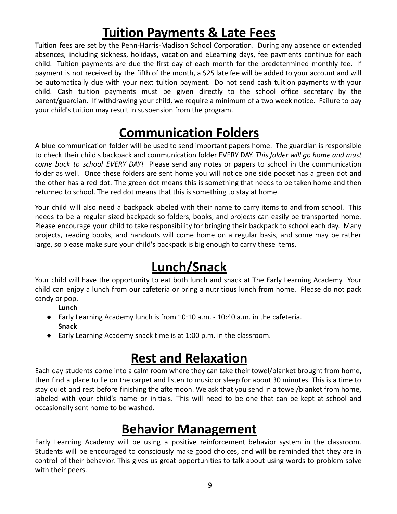# **Tuition Payments & Late Fees**

<span id="page-8-0"></span>Tuition fees are set by the Penn-Harris-Madison School Corporation. During any absence or extended absences, including sickness, holidays, vacation and eLearning days, fee payments continue for each child. Tuition payments are due the first day of each month for the predetermined monthly fee. If payment is not received by the fifth of the month, a \$25 late fee will be added to your account and will be automatically due with your next tuition payment. Do not send cash tuition payments with your child. Cash tuition payments must be given directly to the school office secretary by the parent/guardian. If withdrawing your child, we require a minimum of a two week notice. Failure to pay your child's tuition may result in suspension from the program.

# **Communication Folders**

<span id="page-8-1"></span>A blue communication folder will be used to send important papers home. The guardian is responsible to check their child's backpack and communication folder EVERY DAY. *This folder will go home and must come back to school EVERY DAY!* Please send any notes or papers to school in the communication folder as well. Once these folders are sent home you will notice one side pocket has a green dot and the other has a red dot. The green dot means this is something that needs to be taken home and then returned to school. The red dot means that this is something to stay at home.

Your child will also need a backpack labeled with their name to carry items to and from school. This needs to be a regular sized backpack so folders, books, and projects can easily be transported home. Please encourage your child to take responsibility for bringing their backpack to school each day. Many projects, reading books, and handouts will come home on a regular basis, and some may be rather large, so please make sure your child's backpack is big enough to carry these items.

# **Lunch/Snack**

<span id="page-8-2"></span>Your child will have the opportunity to eat both lunch and snack at The Early Learning Academy. Your child can enjoy a lunch from our cafeteria or bring a nutritious lunch from home. Please do not pack candy or pop.

**Lunch**

- Early Learning Academy lunch is from 10:10 a.m. 10:40 a.m. in the cafeteria. **Snack**
- Early Learning Academy snack time is at 1:00 p.m. in the classroom.

# **Rest and Relaxation**

<span id="page-8-3"></span>Each day students come into a calm room where they can take their towel/blanket brought from home, then find a place to lie on the carpet and listen to music or sleep for about 30 minutes. This is a time to stay quiet and rest before finishing the afternoon. We ask that you send in a towel/blanket from home, labeled with your child's name or initials. This will need to be one that can be kept at school and occasionally sent home to be washed.

# **Behavior Management**

<span id="page-8-4"></span>Early Learning Academy will be using a positive reinforcement behavior system in the classroom. Students will be encouraged to consciously make good choices, and will be reminded that they are in control of their behavior. This gives us great opportunities to talk about using words to problem solve with their peers.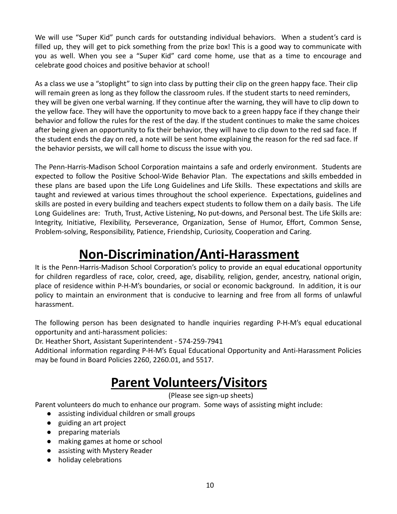We will use "Super Kid" punch cards for outstanding individual behaviors. When a student's card is filled up, they will get to pick something from the prize box! This is a good way to communicate with you as well. When you see a "Super Kid" card come home, use that as a time to encourage and celebrate good choices and positive behavior at school!

As a class we use a "stoplight" to sign into class by putting their clip on the green happy face. Their clip will remain green as long as they follow the classroom rules. If the student starts to need reminders, they will be given one verbal warning. If they continue after the warning, they will have to clip down to the yellow face. They will have the opportunity to move back to a green happy face if they change their behavior and follow the rules for the rest of the day. If the student continues to make the same choices after being given an opportunity to fix their behavior, they will have to clip down to the red sad face. If the student ends the day on red, a note will be sent home explaining the reason for the red sad face. If the behavior persists, we will call home to discuss the issue with you.

The Penn-Harris-Madison School Corporation maintains a safe and orderly environment. Students are expected to follow the Positive School-Wide Behavior Plan. The expectations and skills embedded in these plans are based upon the Life Long Guidelines and Life Skills. These expectations and skills are taught and reviewed at various times throughout the school experience. Expectations, guidelines and skills are posted in every building and teachers expect students to follow them on a daily basis. The Life Long Guidelines are: Truth, Trust, Active Listening, No put-downs, and Personal best. The Life Skills are: Integrity, Initiative, Flexibility, Perseverance, Organization, Sense of Humor, Effort, Common Sense, Problem-solving, Responsibility, Patience, Friendship, Curiosity, Cooperation and Caring.

# **Non-Discrimination/Anti-Harassment**

<span id="page-9-0"></span>It is the Penn-Harris-Madison School Corporation's policy to provide an equal educational opportunity for children regardless of race, color, creed, age, disability, religion, gender, ancestry, national origin, place of residence within P-H-M's boundaries, or social or economic background. In addition, it is our policy to maintain an environment that is conducive to learning and free from all forms of unlawful harassment.

The following person has been designated to handle inquiries regarding P-H-M's equal educational opportunity and anti-harassment policies:

Dr. Heather Short, Assistant Superintendent - 574-259-7941

<span id="page-9-1"></span>Additional information regarding P-H-M's Equal Educational Opportunity and Anti-Harassment Policies may be found in Board Policies 2260, 2260.01, and 5517.

# **Parent Volunteers/Visitors**

(Please see sign-up sheets)

Parent volunteers do much to enhance our program. Some ways of assisting might include:

- assisting individual children or small groups
- guiding an art project
- preparing materials
- making games at home or school
- assisting with Mystery Reader
- holiday celebrations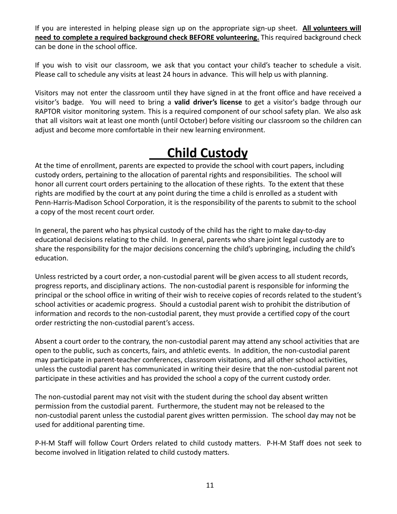If you are interested in helping please sign up on the appropriate sign-up sheet. **All volunteers will need to complete a required background check BEFORE volunteering.** This required background check can be done in the school office.

If you wish to visit our classroom, we ask that you contact your child's teacher to schedule a visit. Please call to schedule any visits at least 24 hours in advance. This will help us with planning.

Visitors may not enter the classroom until they have signed in at the front office and have received a visitor's badge. You will need to bring a **valid driver's license** to get a visitor's badge through our RAPTOR visitor monitoring system. This is a required component of our school safety plan. We also ask that all visitors wait at least one month (until October) before visiting our classroom so the children can adjust and become more comfortable in their new learning environment.

# **Child Custody**

<span id="page-10-0"></span>At the time of enrollment, parents are expected to provide the school with court papers, including custody orders, pertaining to the allocation of parental rights and responsibilities. The school will honor all current court orders pertaining to the allocation of these rights. To the extent that these rights are modified by the court at any point during the time a child is enrolled as a student with Penn-Harris-Madison School Corporation, it is the responsibility of the parents to submit to the school a copy of the most recent court order.

In general, the parent who has physical custody of the child has the right to make day-to-day educational decisions relating to the child. In general, parents who share joint legal custody are to share the responsibility for the major decisions concerning the child's upbringing, including the child's education.

Unless restricted by a court order, a non-custodial parent will be given access to all student records, progress reports, and disciplinary actions. The non-custodial parent is responsible for informing the principal or the school office in writing of their wish to receive copies of records related to the student's school activities or academic progress. Should a custodial parent wish to prohibit the distribution of information and records to the non-custodial parent, they must provide a certified copy of the court order restricting the non-custodial parent's access.

Absent a court order to the contrary, the non-custodial parent may attend any school activities that are open to the public, such as concerts, fairs, and athletic events. In addition, the non-custodial parent may participate in parent-teacher conferences, classroom visitations, and all other school activities, unless the custodial parent has communicated in writing their desire that the non-custodial parent not participate in these activities and has provided the school a copy of the current custody order.

The non-custodial parent may not visit with the student during the school day absent written permission from the custodial parent. Furthermore, the student may not be released to the non-custodial parent unless the custodial parent gives written permission. The school day may not be used for additional parenting time.

P-H-M Staff will follow Court Orders related to child custody matters. P-H-M Staff does not seek to become involved in litigation related to child custody matters.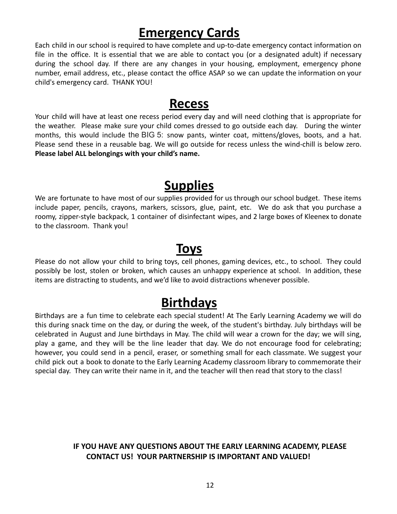## **Emergency Cards**

<span id="page-11-0"></span>Each child in our school is required to have complete and up-to-date emergency contact information on file in the office. It is essential that we are able to contact you (or a designated adult) if necessary during the school day. If there are any changes in your housing, employment, emergency phone number, email address, etc., please contact the office ASAP so we can update the information on your child's emergency card. THANK YOU!

### **Recess**

<span id="page-11-1"></span>Your child will have at least one recess period every day and will need clothing that is appropriate for the weather. Please make sure your child comes dressed to go outside each day. During the winter months, this would include the BIG 5: snow pants, winter coat, mittens/gloves, boots, and a hat. Please send these in a reusable bag. We will go outside for recess unless the wind-chill is below zero. **Please label ALL belongings with your child's name.**

### **Supplies**

<span id="page-11-2"></span>We are fortunate to have most of our supplies provided for us through our school budget. These items include paper, pencils, crayons, markers, scissors, glue, paint, etc. We do ask that you purchase a roomy, zipper-style backpack, 1 container of disinfectant wipes, and 2 large boxes of Kleenex to donate to the classroom. Thank you!

### **Toys**

<span id="page-11-3"></span>Please do not allow your child to bring toys, cell phones, gaming devices, etc., to school. They could possibly be lost, stolen or broken, which causes an unhappy experience at school. In addition, these items are distracting to students, and we'd like to avoid distractions whenever possible.

### **Birthdays**

<span id="page-11-4"></span>Birthdays are a fun time to celebrate each special student! At The Early Learning Academy we will do this during snack time on the day, or during the week, of the student's birthday. July birthdays will be celebrated in August and June birthdays in May. The child will wear a crown for the day; we will sing, play a game, and they will be the line leader that day. We do not encourage food for celebrating; however, you could send in a pencil, eraser, or something small for each classmate. We suggest your child pick out a book to donate to the Early Learning Academy classroom library to commemorate their special day. They can write their name in it, and the teacher will then read that story to the class!

#### **IF YOU HAVE ANY QUESTIONS ABOUT THE EARLY LEARNING ACADEMY, PLEASE CONTACT US! YOUR PARTNERSHIP IS IMPORTANT AND VALUED!**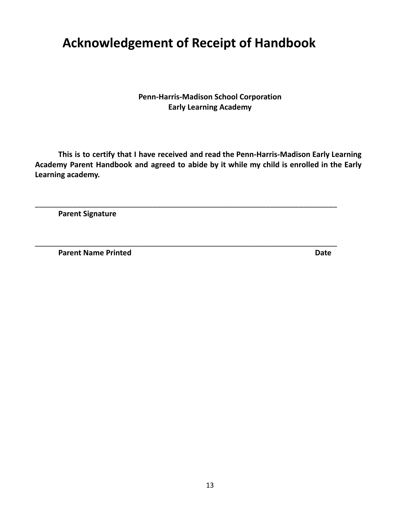# <span id="page-12-0"></span>**Acknowledgement of Receipt of Handbook**

**Penn-Harris-Madison School Corporation Early Learning Academy**

**This is to certify that I have received and read the Penn-Harris-Madison Early Learning Academy Parent Handbook and agreed to abide by it while my child is enrolled in the Early Learning academy.**

\_\_\_\_\_\_\_\_\_\_\_\_\_\_\_\_\_\_\_\_\_\_\_\_\_\_\_\_\_\_\_\_\_\_\_\_\_\_\_\_\_\_\_\_\_\_\_\_\_\_\_\_\_\_\_\_\_\_\_\_\_\_\_\_\_\_\_\_\_\_\_\_

\_\_\_\_\_\_\_\_\_\_\_\_\_\_\_\_\_\_\_\_\_\_\_\_\_\_\_\_\_\_\_\_\_\_\_\_\_\_\_\_\_\_\_\_\_\_\_\_\_\_\_\_\_\_\_\_\_\_\_\_\_\_\_\_\_\_\_\_\_\_\_\_

**Parent Signature**

**Parent Name Printed Date**